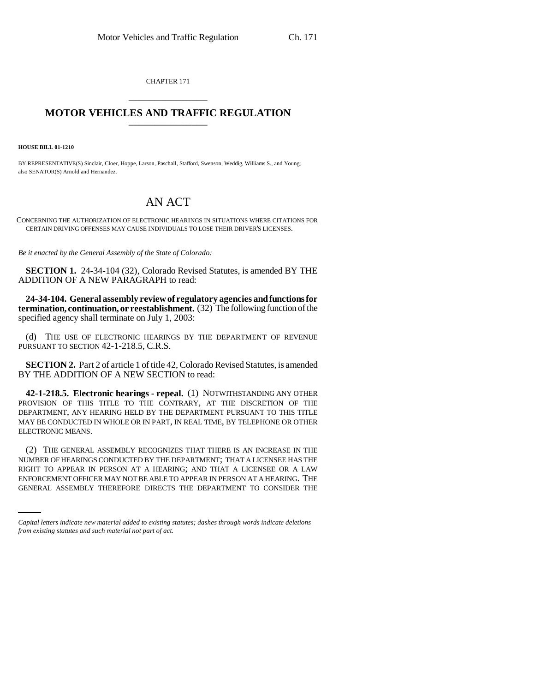CHAPTER 171 \_\_\_\_\_\_\_\_\_\_\_\_\_\_\_

## **MOTOR VEHICLES AND TRAFFIC REGULATION** \_\_\_\_\_\_\_\_\_\_\_\_\_\_\_

**HOUSE BILL 01-1210**

BY REPRESENTATIVE(S) Sinclair, Cloer, Hoppe, Larson, Paschall, Stafford, Swenson, Weddig, Williams S., and Young; also SENATOR(S) Arnold and Hernandez.

## AN ACT

CONCERNING THE AUTHORIZATION OF ELECTRONIC HEARINGS IN SITUATIONS WHERE CITATIONS FOR CERTAIN DRIVING OFFENSES MAY CAUSE INDIVIDUALS TO LOSE THEIR DRIVER'S LICENSES.

*Be it enacted by the General Assembly of the State of Colorado:*

**SECTION 1.** 24-34-104 (32), Colorado Revised Statutes, is amended BY THE ADDITION OF A NEW PARAGRAPH to read:

**24-34-104. General assembly review of regulatory agencies and functions for termination, continuation, or reestablishment.** (32) The following function of the specified agency shall terminate on July 1, 2003:

(d) THE USE OF ELECTRONIC HEARINGS BY THE DEPARTMENT OF REVENUE PURSUANT TO SECTION 42-1-218.5, C.R.S.

**SECTION 2.** Part 2 of article 1 of title 42, Colorado Revised Statutes, is amended BY THE ADDITION OF A NEW SECTION to read:

**42-1-218.5. Electronic hearings - repeal.** (1) NOTWITHSTANDING ANY OTHER PROVISION OF THIS TITLE TO THE CONTRARY, AT THE DISCRETION OF THE DEPARTMENT, ANY HEARING HELD BY THE DEPARTMENT PURSUANT TO THIS TITLE MAY BE CONDUCTED IN WHOLE OR IN PART, IN REAL TIME, BY TELEPHONE OR OTHER ELECTRONIC MEANS.

RIGHT TO APPEAR IN PERSON AT A HEARING; AND THAT A LICENSEE OR A LAW (2) THE GENERAL ASSEMBLY RECOGNIZES THAT THERE IS AN INCREASE IN THE NUMBER OF HEARINGS CONDUCTED BY THE DEPARTMENT; THAT A LICENSEE HAS THE ENFORCEMENT OFFICER MAY NOT BE ABLE TO APPEAR IN PERSON AT A HEARING. THE GENERAL ASSEMBLY THEREFORE DIRECTS THE DEPARTMENT TO CONSIDER THE

*Capital letters indicate new material added to existing statutes; dashes through words indicate deletions from existing statutes and such material not part of act.*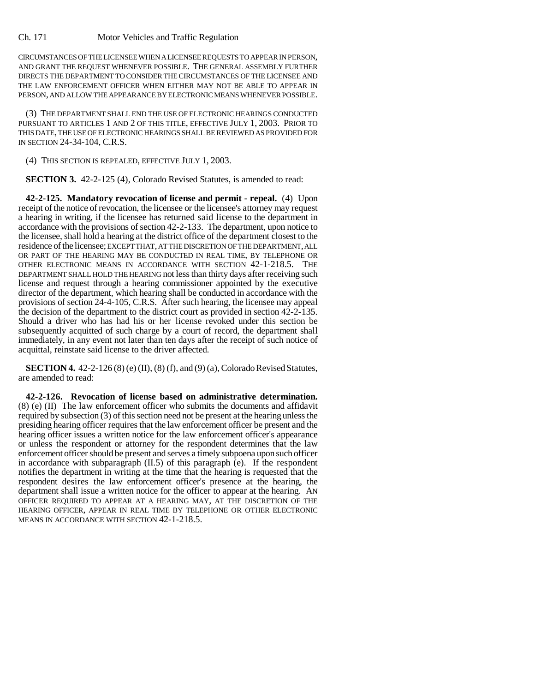CIRCUMSTANCES OF THE LICENSEE WHEN A LICENSEE REQUESTS TO APPEAR IN PERSON, AND GRANT THE REQUEST WHENEVER POSSIBLE. THE GENERAL ASSEMBLY FURTHER DIRECTS THE DEPARTMENT TO CONSIDER THE CIRCUMSTANCES OF THE LICENSEE AND THE LAW ENFORCEMENT OFFICER WHEN EITHER MAY NOT BE ABLE TO APPEAR IN PERSON, AND ALLOW THE APPEARANCE BY ELECTRONIC MEANS WHENEVER POSSIBLE.

(3) THE DEPARTMENT SHALL END THE USE OF ELECTRONIC HEARINGS CONDUCTED PURSUANT TO ARTICLES 1 AND 2 OF THIS TITLE, EFFECTIVE JULY 1, 2003. PRIOR TO THIS DATE, THE USE OF ELECTRONIC HEARINGS SHALL BE REVIEWED AS PROVIDED FOR IN SECTION 24-34-104, C.R.S.

(4) THIS SECTION IS REPEALED, EFFECTIVE JULY 1, 2003.

**SECTION 3.** 42-2-125 (4), Colorado Revised Statutes, is amended to read:

**42-2-125. Mandatory revocation of license and permit - repeal.** (4) Upon receipt of the notice of revocation, the licensee or the licensee's attorney may request a hearing in writing, if the licensee has returned said license to the department in accordance with the provisions of section 42-2-133. The department, upon notice to the licensee, shall hold a hearing at the district office of the department closest to the residence of the licensee; EXCEPT THAT, AT THE DISCRETION OF THE DEPARTMENT, ALL OR PART OF THE HEARING MAY BE CONDUCTED IN REAL TIME, BY TELEPHONE OR OTHER ELECTRONIC MEANS IN ACCORDANCE WITH SECTION 42-1-218.5. THE DEPARTMENT SHALL HOLD THE HEARING not less than thirty days after receiving such license and request through a hearing commissioner appointed by the executive director of the department, which hearing shall be conducted in accordance with the provisions of section 24-4-105, C.R.S. After such hearing, the licensee may appeal the decision of the department to the district court as provided in section 42-2-135. Should a driver who has had his or her license revoked under this section be subsequently acquitted of such charge by a court of record, the department shall immediately, in any event not later than ten days after the receipt of such notice of acquittal, reinstate said license to the driver affected.

**SECTION 4.** 42-2-126 (8) (e) (II), (8) (f), and (9) (a), Colorado Revised Statutes, are amended to read:

**42-2-126. Revocation of license based on administrative determination.** (8) (e) (II) The law enforcement officer who submits the documents and affidavit required by subsection (3) of this section need not be present at the hearing unless the presiding hearing officer requires that the law enforcement officer be present and the hearing officer issues a written notice for the law enforcement officer's appearance or unless the respondent or attorney for the respondent determines that the law enforcement officer should be present and serves a timely subpoena upon such officer in accordance with subparagraph  $(II.5)$  of this paragraph  $(e)$ . If the respondent notifies the department in writing at the time that the hearing is requested that the respondent desires the law enforcement officer's presence at the hearing, the department shall issue a written notice for the officer to appear at the hearing. AN OFFICER REQUIRED TO APPEAR AT A HEARING MAY, AT THE DISCRETION OF THE HEARING OFFICER, APPEAR IN REAL TIME BY TELEPHONE OR OTHER ELECTRONIC MEANS IN ACCORDANCE WITH SECTION 42-1-218.5.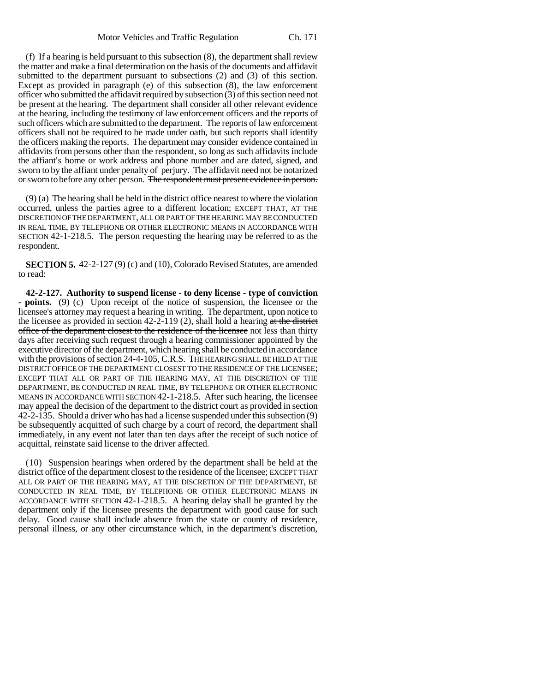(f) If a hearing is held pursuant to this subsection (8), the department shall review the matter and make a final determination on the basis of the documents and affidavit submitted to the department pursuant to subsections (2) and (3) of this section. Except as provided in paragraph (e) of this subsection (8), the law enforcement officer who submitted the affidavit required by subsection (3) of this section need not be present at the hearing. The department shall consider all other relevant evidence at the hearing, including the testimony of law enforcement officers and the reports of such officers which are submitted to the department. The reports of law enforcement officers shall not be required to be made under oath, but such reports shall identify the officers making the reports. The department may consider evidence contained in affidavits from persons other than the respondent, so long as such affidavits include the affiant's home or work address and phone number and are dated, signed, and sworn to by the affiant under penalty of perjury. The affidavit need not be notarized or sworn to before any other person. The respondent must present evidence in person.

(9) (a) The hearing shall be held in the district office nearest to where the violation occurred, unless the parties agree to a different location; EXCEPT THAT, AT THE DISCRETION OF THE DEPARTMENT, ALL OR PART OF THE HEARING MAY BE CONDUCTED IN REAL TIME, BY TELEPHONE OR OTHER ELECTRONIC MEANS IN ACCORDANCE WITH SECTION 42-1-218.5. The person requesting the hearing may be referred to as the respondent.

**SECTION 5.** 42-2-127 (9) (c) and (10), Colorado Revised Statutes, are amended to read:

**42-2-127. Authority to suspend license - to deny license - type of conviction - points.** (9) (c) Upon receipt of the notice of suspension, the licensee or the licensee's attorney may request a hearing in writing. The department, upon notice to the licensee as provided in section  $42-2-119(2)$ , shall hold a hearing at the district office of the department closest to the residence of the licensee not less than thirty days after receiving such request through a hearing commissioner appointed by the executive director of the department, which hearing shall be conducted in accordance with the provisions of section 24-4-105, C.R.S. THE HEARING SHALL BE HELD AT THE DISTRICT OFFICE OF THE DEPARTMENT CLOSEST TO THE RESIDENCE OF THE LICENSEE; EXCEPT THAT ALL OR PART OF THE HEARING MAY, AT THE DISCRETION OF THE DEPARTMENT, BE CONDUCTED IN REAL TIME, BY TELEPHONE OR OTHER ELECTRONIC MEANS IN ACCORDANCE WITH SECTION 42-1-218.5. After such hearing, the licensee may appeal the decision of the department to the district court as provided in section 42-2-135. Should a driver who has had a license suspended under this subsection (9) be subsequently acquitted of such charge by a court of record, the department shall immediately, in any event not later than ten days after the receipt of such notice of acquittal, reinstate said license to the driver affected.

(10) Suspension hearings when ordered by the department shall be held at the district office of the department closest to the residence of the licensee; EXCEPT THAT ALL OR PART OF THE HEARING MAY, AT THE DISCRETION OF THE DEPARTMENT, BE CONDUCTED IN REAL TIME, BY TELEPHONE OR OTHER ELECTRONIC MEANS IN ACCORDANCE WITH SECTION 42-1-218.5. A hearing delay shall be granted by the department only if the licensee presents the department with good cause for such delay. Good cause shall include absence from the state or county of residence, personal illness, or any other circumstance which, in the department's discretion,